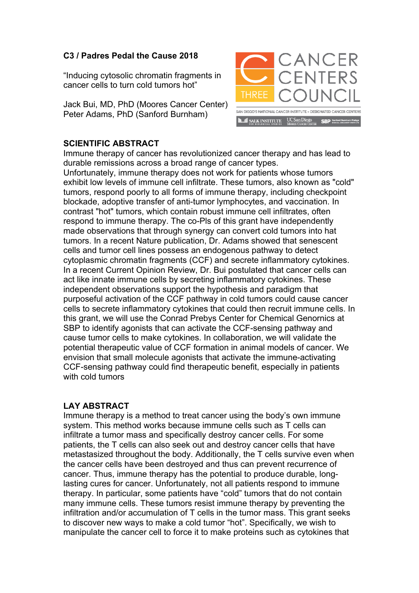## **C3 / Padres Pedal the Cause 2018**

"Inducing cytosolic chromatin fragments in cancer cells to turn cold tumors hot"

Jack Bui, MD, PhD (Moores Cancer Center) Peter Adams, PhD (Sanford Burnham)



## **SCIENTIFIC ABSTRACT**

Immune therapy of cancer has revolutionized cancer therapy and has lead to durable remissions across a broad range of cancer types.

Unfortunately, immune therapy does not work for patients whose tumors exhibit low levels of immune cell infiltrate. These tumors, also known as "cold" tumors, respond poorly to all forms of immune therapy, including checkpoint blockade, adoptive transfer of anti-tumor lymphocytes, and vaccination. In contrast "hot" tumors, which contain robust immune cell infiltrates, often respond to immune therapy. The co-Pls of this grant have independently made observations that through synergy can convert cold tumors into hat tumors. In a recent Nature publication, Dr. Adams showed that senescent cells and tumor cell lines possess an endogenous pathway to detect cytoplasmic chromatin fragments (CCF) and secrete inflammatory cytokines. In a recent Current Opinion Review, Dr. Bui postulated that cancer cells can act like innate immune cells by secreting inflammatory cytokines. These independent observations support the hypothesis and paradigm that purposeful activation of the CCF pathway in cold tumors could cause cancer cells to secrete inflammatory cytokines that could then recruit immune cells. In this grant, we will use the Conrad Prebys Center for Chemical Genornics at SBP to identify agonists that can activate the CCF-sensing pathway and cause tumor cells to make cytokines. In collaboration, we will validate the potential therapeutic value of CCF formation in animal models of cancer. We envision that small molecule agonists that activate the immune-activating CCF-sensing pathway could find therapeutic benefit, especially in patients with cold tumors

## **LAY ABSTRACT**

Immune therapy is a method to treat cancer using the body's own immune system. This method works because immune cells such as T cells can infiltrate a tumor mass and specifically destroy cancer cells. For some patients, the T cells can also seek out and destroy cancer cells that have metastasized throughout the body. Additionally, the T cells survive even when the cancer cells have been destroyed and thus can prevent recurrence of cancer. Thus, immune therapy has the potential to produce durable, longlasting cures for cancer. Unfortunately, not all patients respond to immune therapy. In particular, some patients have "cold" tumors that do not contain many immune cells. These tumors resist immune therapy by preventing the infiltration and/or accumulation of T cells in the tumor mass. This grant seeks to discover new ways to make a cold tumor "hot". Specifically, we wish to manipulate the cancer cell to force it to make proteins such as cytokines that